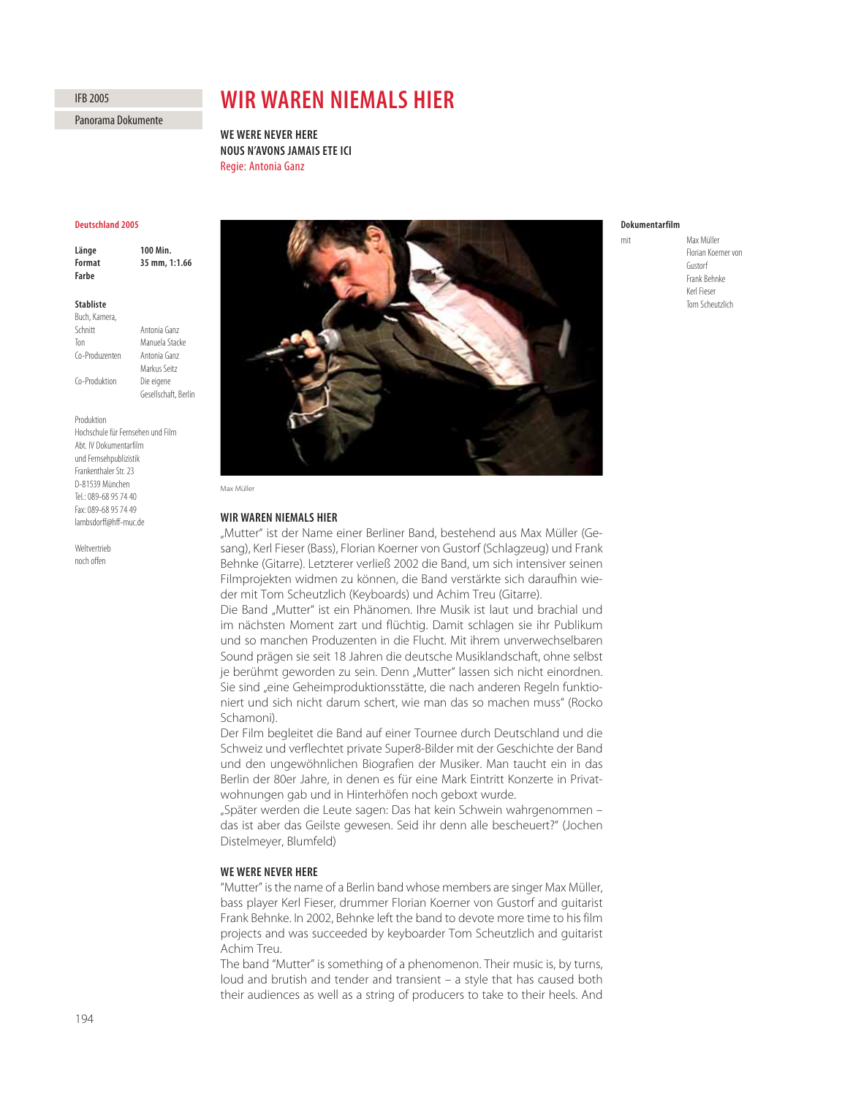# **IFB 2005**

Panorama Dokumente

# **WIR WAREN NIEMALS HIER**

**WE WERE NEVER HERE NOUS N'AVONS JAMAIS ETE ICI** Regie: Antonia Ganz

### **Deutschland 2005**

**Länge 100 Min. Format 35 mm, 1:1.66 Farbe**

## **Stabliste**

Buch, Kamera, Schnitt Antonia Ganz Ton Manuela Stacke Co-Produzenten Antonia Ganz Markus Seitz Co-Produktion Die eigene Gesellschaft, Berlin

Produktion

Hochschule für Fernsehen und Film Abt. IV Dokumentarfilm und Fernsehpublizistik Frankenthaler Str. 23 D-81539 München Tel.: 089-68 95 74 40 Fax: 089-68 95 74 49 lambsdorff@hff-muc.de

Weltvertrieb noch offen



#### **WIR WAREN NIEMALS HIER**

"Mutter" ist der Name einer Berliner Band, bestehend aus Max Müller (Gesang), Kerl Fieser (Bass), Florian Koerner von Gustorf (Schlagzeug) und Frank Behnke (Gitarre). Letzterer verließ 2002 die Band, um sich intensiver seinen Filmprojekten widmen zu können, die Band verstärkte sich daraufhin wieder mit Tom Scheutzlich (Keyboards) und Achim Treu (Gitarre).

Die Band "Mutter" ist ein Phänomen. Ihre Musik ist laut und brachial und im nächsten Moment zart und flüchtig. Damit schlagen sie ihr Publikum und so manchen Produzenten in die Flucht. Mit ihrem unverwechselbaren Sound prägen sie seit 18 Jahren die deutsche Musiklandschaft, ohne selbst je berühmt geworden zu sein. Denn "Mutter" lassen sich nicht einordnen. Sie sind "eine Geheimproduktionsstätte, die nach anderen Regeln funktioniert und sich nicht darum schert, wie man das so machen muss" (Rocko Schamoni).

Der Film begleitet die Band auf einer Tournee durch Deutschland und die Schweiz und verflechtet private Super8-Bilder mit der Geschichte der Band und den ungewöhnlichen Biografien der Musiker. Man taucht ein in das Berlin der 80er Jahre, in denen es für eine Mark Eintritt Konzerte in Privatwohnungen gab und in Hinterhöfen noch geboxt wurde.

"Später werden die Leute sagen: Das hat kein Schwein wahrgenommen – das ist aber das Geilste gewesen. Seid ihr denn alle bescheuert?" (Jochen Distelmeyer, Blumfeld)

## **WE WERE NEVER HERE**

"Mutter" is the name of a Berlin band whose members are singer Max Müller, bass player Kerl Fieser, drummer Florian Koerner von Gustorf and guitarist Frank Behnke. In 2002, Behnke left the band to devote more time to his film projects and was succeeded by keyboarder Tom Scheutzlich and guitarist Achim Treu.

The band "Mutter" is something of a phenomenon. Their music is, by turns, loud and brutish and tender and transient – a style that has caused both their audiences as well as a string of producers to take to their heels. And

## **Dokumentarfilm**

mit Max Müller Florian Koerner von Gustorf Frank Behnke Kerl Fieser Tom Scheutzlich